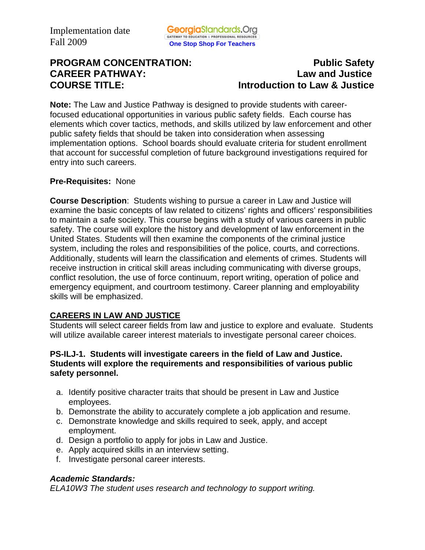# **PROGRAM CONCENTRATION:** PROGRAM **PUblic Safety CAREER PATHWAY: Law and Justice COURSE TITLE: Introduction to Law & Justice**

**Note:** The Law and Justice Pathway is designed to provide students with careerfocused educational opportunities in various public safety fields. Each course has elements which cover tactics, methods, and skills utilized by law enforcement and other public safety fields that should be taken into consideration when assessing implementation options. School boards should evaluate criteria for student enrollment that account for successful completion of future background investigations required for entry into such careers.

#### **Pre-Requisites:** None

**Course Description**: Students wishing to pursue a career in Law and Justice will examine the basic concepts of law related to citizens' rights and officers' responsibilities to maintain a safe society. This course begins with a study of various careers in public safety. The course will explore the history and development of law enforcement in the United States. Students will then examine the components of the criminal justice system, including the roles and responsibilities of the police, courts, and corrections. Additionally, students will learn the classification and elements of crimes. Students will receive instruction in critical skill areas including communicating with diverse groups, conflict resolution, the use of force continuum, report writing, operation of police and emergency equipment, and courtroom testimony. Career planning and employability skills will be emphasized.

## **CAREERS IN LAW AND JUSTICE**

Students will select career fields from law and justice to explore and evaluate. Students will utilize available career interest materials to investigate personal career choices.

#### **PS-ILJ-1. Students will investigate careers in the field of Law and Justice. Students will explore the requirements and responsibilities of various public safety personnel.**

- a. Identify positive character traits that should be present in Law and Justice employees.
- b. Demonstrate the ability to accurately complete a job application and resume.
- c. Demonstrate knowledge and skills required to seek, apply, and accept employment.
- d. Design a portfolio to apply for jobs in Law and Justice.
- e. Apply acquired skills in an interview setting.
- f. Investigate personal career interests.

## *Academic Standards:*

*ELA10W3 The student uses research and technology to support writing.*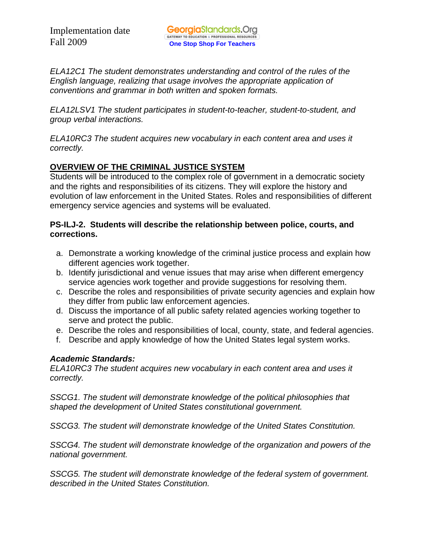*ELA12C1 The student demonstrates understanding and control of the rules of the English language, realizing that usage involves the appropriate application of conventions and grammar in both written and spoken formats.* 

*ELA12LSV1 The student participates in student-to-teacher, student-to-student, and group verbal interactions.* 

*ELA10RC3 The student acquires new vocabulary in each content area and uses it correctly.* 

## **OVERVIEW OF THE CRIMINAL JUSTICE SYSTEM**

Students will be introduced to the complex role of government in a democratic society and the rights and responsibilities of its citizens. They will explore the history and evolution of law enforcement in the United States. Roles and responsibilities of different emergency service agencies and systems will be evaluated.

## **PS-ILJ-2. Students will describe the relationship between police, courts, and corrections.**

- a. Demonstrate a working knowledge of the criminal justice process and explain how different agencies work together.
- b. Identify jurisdictional and venue issues that may arise when different emergency service agencies work together and provide suggestions for resolving them.
- c. Describe the roles and responsibilities of private security agencies and explain how they differ from public law enforcement agencies.
- d. Discuss the importance of all public safety related agencies working together to serve and protect the public.
- e. Describe the roles and responsibilities of local, county, state, and federal agencies.
- f. Describe and apply knowledge of how the United States legal system works.

## *Academic Standards:*

*ELA10RC3 The student acquires new vocabulary in each content area and uses it correctly.* 

*SSCG1. The student will demonstrate knowledge of the political philosophies that shaped the development of United States constitutional government.* 

*SSCG3. The student will demonstrate knowledge of the United States Constitution.* 

*SSCG4. The student will demonstrate knowledge of the organization and powers of the national government.* 

*SSCG5. The student will demonstrate knowledge of the federal system of government. described in the United States Constitution.*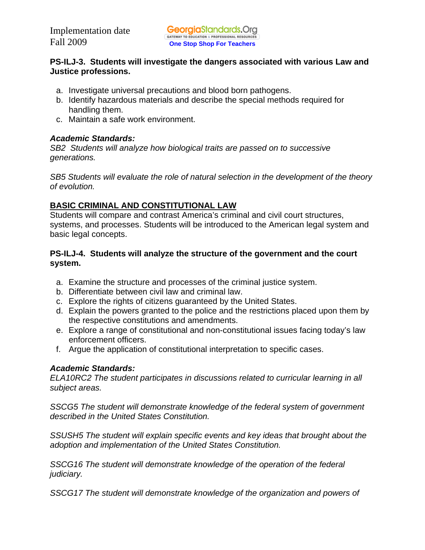## **PS-ILJ-3. Students will investigate the dangers associated with various Law and Justice professions.**

- a. Investigate universal precautions and blood born pathogens.
- b. Identify hazardous materials and describe the special methods required for handling them.
- c. Maintain a safe work environment.

#### *Academic Standards:*

*SB2 Students will analyze how biological traits are passed on to successive generations.* 

*SB5 Students will evaluate the role of natural selection in the development of the theory of evolution.* 

## **BASIC CRIMINAL AND CONSTITUTIONAL LAW**

Students will compare and contrast America's criminal and civil court structures, systems, and processes. Students will be introduced to the American legal system and basic legal concepts.

## **PS-ILJ-4. Students will analyze the structure of the government and the court system.**

- a. Examine the structure and processes of the criminal justice system.
- b. Differentiate between civil law and criminal law.
- c. Explore the rights of citizens guaranteed by the United States.
- d. Explain the powers granted to the police and the restrictions placed upon them by the respective constitutions and amendments.
- e. Explore a range of constitutional and non-constitutional issues facing today's law enforcement officers.
- f. Argue the application of constitutional interpretation to specific cases.

## *Academic Standards:*

*ELA10RC2 The student participates in discussions related to curricular learning in all subject areas.* 

*SSCG5 The student will demonstrate knowledge of the federal system of government described in the United States Constitution.* 

*SSUSH5 The student will explain specific events and key ideas that brought about the adoption and implementation of the United States Constitution.* 

*SSCG16 The student will demonstrate knowledge of the operation of the federal judiciary.* 

*SSCG17 The student will demonstrate knowledge of the organization and powers of*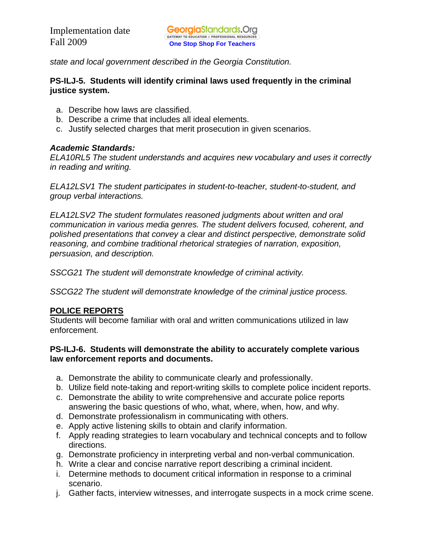*state and local government described in the Georgia Constitution.* 

#### **PS-ILJ-5. Students will identify criminal laws used frequently in the criminal justice system.**

- a. Describe how laws are classified.
- b. Describe a crime that includes all ideal elements.
- c. Justify selected charges that merit prosecution in given scenarios.

## *Academic Standards:*

*ELA10RL5 The student understands and acquires new vocabulary and uses it correctly in reading and writing.* 

*ELA12LSV1 The student participates in student-to-teacher, student-to-student, and group verbal interactions.* 

*ELA12LSV2 The student formulates reasoned judgments about written and oral communication in various media genres. The student delivers focused, coherent, and polished presentations that convey a clear and distinct perspective, demonstrate solid reasoning, and combine traditional rhetorical strategies of narration, exposition, persuasion, and description.* 

*SSCG21 The student will demonstrate knowledge of criminal activity.* 

*SSCG22 The student will demonstrate knowledge of the criminal justice process.* 

## **POLICE REPORTS**

Students will become familiar with oral and written communications utilized in law enforcement.

## **PS-ILJ-6. Students will demonstrate the ability to accurately complete various law enforcement reports and documents.**

- a. Demonstrate the ability to communicate clearly and professionally.
- b. Utilize field note-taking and report-writing skills to complete police incident reports.
- c. Demonstrate the ability to write comprehensive and accurate police reports answering the basic questions of who, what, where, when, how, and why.
- d. Demonstrate professionalism in communicating with others.
- e. Apply active listening skills to obtain and clarify information.
- f. Apply reading strategies to learn vocabulary and technical concepts and to follow directions.
- g. Demonstrate proficiency in interpreting verbal and non-verbal communication.
- h. Write a clear and concise narrative report describing a criminal incident.
- i. Determine methods to document critical information in response to a criminal scenario.
- j. Gather facts, interview witnesses, and interrogate suspects in a mock crime scene.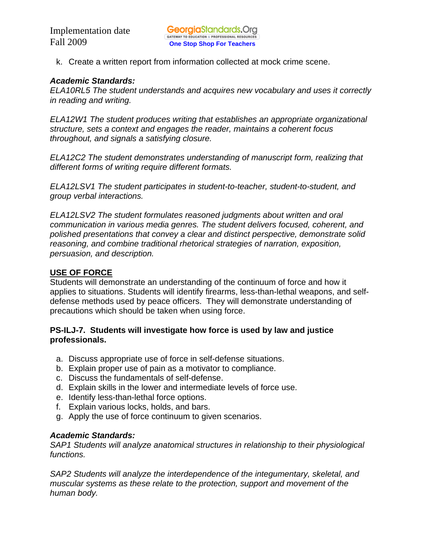k. Create a written report from information collected at mock crime scene.

#### *Academic Standards:*

*ELA10RL5 The student understands and acquires new vocabulary and uses it correctly in reading and writing.* 

*ELA12W1 The student produces writing that establishes an appropriate organizational structure, sets a context and engages the reader, maintains a coherent focus throughout, and signals a satisfying closure.* 

*ELA12C2 The student demonstrates understanding of manuscript form, realizing that different forms of writing require different formats.* 

*ELA12LSV1 The student participates in student-to-teacher, student-to-student, and group verbal interactions.* 

*ELA12LSV2 The student formulates reasoned judgments about written and oral communication in various media genres. The student delivers focused, coherent, and polished presentations that convey a clear and distinct perspective, demonstrate solid reasoning, and combine traditional rhetorical strategies of narration, exposition, persuasion, and description.* 

## **USE OF FORCE**

Students will demonstrate an understanding of the continuum of force and how it applies to situations. Students will identify firearms, less-than-lethal weapons, and selfdefense methods used by peace officers. They will demonstrate understanding of precautions which should be taken when using force.

## **PS-ILJ-7. Students will investigate how force is used by law and justice professionals.**

- a. Discuss appropriate use of force in self-defense situations.
- b. Explain proper use of pain as a motivator to compliance.
- c. Discuss the fundamentals of self-defense.
- d. Explain skills in the lower and intermediate levels of force use.
- e. Identify less-than-lethal force options.
- f. Explain various locks, holds, and bars.
- g. Apply the use of force continuum to given scenarios.

#### *Academic Standards:*

*SAP1 Students will analyze anatomical structures in relationship to their physiological functions.* 

*SAP2 Students will analyze the interdependence of the integumentary, skeletal, and muscular systems as these relate to the protection, support and movement of the human body.*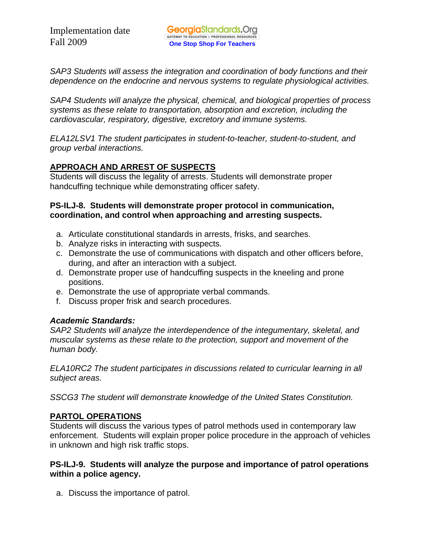*SAP3 Students will assess the integration and coordination of body functions and their dependence on the endocrine and nervous systems to regulate physiological activities.* 

*SAP4 Students will analyze the physical, chemical, and biological properties of process systems as these relate to transportation, absorption and excretion, including the cardiovascular, respiratory, digestive, excretory and immune systems.* 

*ELA12LSV1 The student participates in student-to-teacher, student-to-student, and group verbal interactions.* 

## **APPROACH AND ARREST OF SUSPECTS**

Students will discuss the legality of arrests. Students will demonstrate proper handcuffing technique while demonstrating officer safety.

## **PS-ILJ-8. Students will demonstrate proper protocol in communication, coordination, and control when approaching and arresting suspects.**

- a. Articulate constitutional standards in arrests, frisks, and searches.
- b. Analyze risks in interacting with suspects.
- c. Demonstrate the use of communications with dispatch and other officers before, during, and after an interaction with a subject.
- d. Demonstrate proper use of handcuffing suspects in the kneeling and prone positions.
- e. Demonstrate the use of appropriate verbal commands.
- f. Discuss proper frisk and search procedures.

## *Academic Standards:*

*SAP2 Students will analyze the interdependence of the integumentary, skeletal, and muscular systems as these relate to the protection, support and movement of the human body.* 

*ELA10RC2 The student participates in discussions related to curricular learning in all subject areas.* 

*SSCG3 The student will demonstrate knowledge of the United States Constitution.* 

## **PARTOL OPERATIONS**

Students will discuss the various types of patrol methods used in contemporary law enforcement. Students will explain proper police procedure in the approach of vehicles in unknown and high risk traffic stops.

## **PS-ILJ-9. Students will analyze the purpose and importance of patrol operations within a police agency.**

a. Discuss the importance of patrol.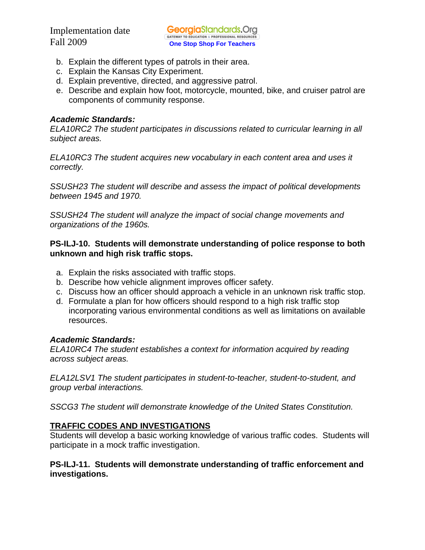- b. Explain the different types of patrols in their area.
- c. Explain the Kansas City Experiment.
- d. Explain preventive, directed, and aggressive patrol.
- e. Describe and explain how foot, motorcycle, mounted, bike, and cruiser patrol are components of community response.

#### *Academic Standards:*

*ELA10RC2 The student participates in discussions related to curricular learning in all subject areas.* 

*ELA10RC3 The student acquires new vocabulary in each content area and uses it correctly.* 

*SSUSH23 The student will describe and assess the impact of political developments between 1945 and 1970.* 

*SSUSH24 The student will analyze the impact of social change movements and organizations of the 1960s.* 

#### **PS-ILJ-10. Students will demonstrate understanding of police response to both unknown and high risk traffic stops.**

- a. Explain the risks associated with traffic stops.
- b. Describe how vehicle alignment improves officer safety.
- c. Discuss how an officer should approach a vehicle in an unknown risk traffic stop.
- d. Formulate a plan for how officers should respond to a high risk traffic stop incorporating various environmental conditions as well as limitations on available resources.

## *Academic Standards:*

*ELA10RC4 The student establishes a context for information acquired by reading across subject areas.* 

*ELA12LSV1 The student participates in student-to-teacher, student-to-student, and group verbal interactions.* 

*SSCG3 The student will demonstrate knowledge of the United States Constitution.* 

## **TRAFFIC CODES AND INVESTIGATIONS**

Students will develop a basic working knowledge of various traffic codes. Students will participate in a mock traffic investigation.

#### **PS-ILJ-11. Students will demonstrate understanding of traffic enforcement and investigations.**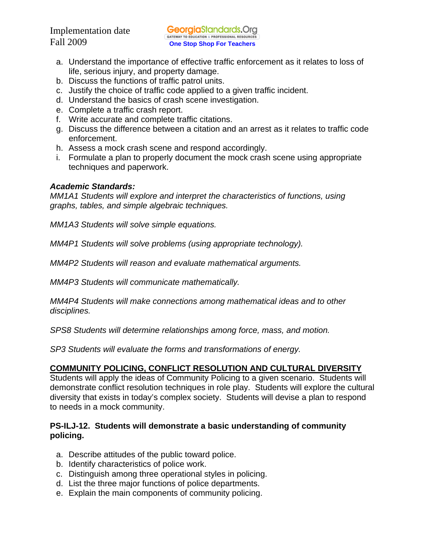- a. Understand the importance of effective traffic enforcement as it relates to loss of life, serious injury, and property damage.
- b. Discuss the functions of traffic patrol units.
- c. Justify the choice of traffic code applied to a given traffic incident.
- d. Understand the basics of crash scene investigation.
- e. Complete a traffic crash report.
- f. Write accurate and complete traffic citations.
- g. Discuss the difference between a citation and an arrest as it relates to traffic code enforcement.
- h. Assess a mock crash scene and respond accordingly.
- i. Formulate a plan to properly document the mock crash scene using appropriate techniques and paperwork.

## *Academic Standards:*

*MM1A1 Students will explore and interpret the characteristics of functions, using graphs, tables, and simple algebraic techniques.* 

*MM1A3 Students will solve simple equations.* 

*MM4P1 Students will solve problems (using appropriate technology).* 

*MM4P2 Students will reason and evaluate mathematical arguments.* 

*MM4P3 Students will communicate mathematically.* 

*MM4P4 Students will make connections among mathematical ideas and to other disciplines.* 

*SPS8 Students will determine relationships among force, mass, and motion.* 

*SP3 Students will evaluate the forms and transformations of energy.* 

# **COMMUNITY POLICING, CONFLICT RESOLUTION AND CULTURAL DIVERSITY**

Students will apply the ideas of Community Policing to a given scenario. Students will demonstrate conflict resolution techniques in role play. Students will explore the cultural diversity that exists in today's complex society. Students will devise a plan to respond to needs in a mock community.

## **PS-ILJ-12. Students will demonstrate a basic understanding of community policing.**

- a. Describe attitudes of the public toward police.
- b. Identify characteristics of police work.
- c. Distinguish among three operational styles in policing.
- d. List the three major functions of police departments.
- e. Explain the main components of community policing.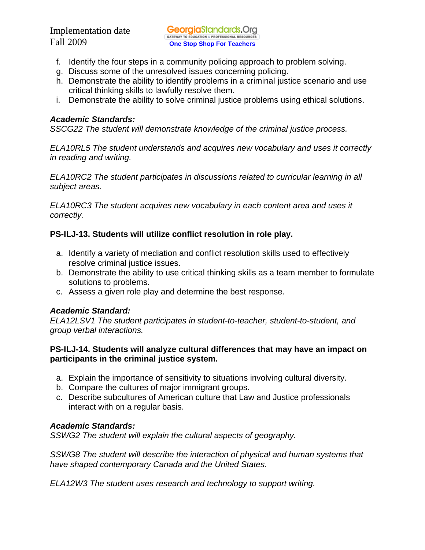- f. Identify the four steps in a community policing approach to problem solving.
- g. Discuss some of the unresolved issues concerning policing.
- h. Demonstrate the ability to identify problems in a criminal justice scenario and use critical thinking skills to lawfully resolve them.
- i. Demonstrate the ability to solve criminal justice problems using ethical solutions.

## *Academic Standards:*

*SSCG22 The student will demonstrate knowledge of the criminal justice process.* 

*ELA10RL5 The student understands and acquires new vocabulary and uses it correctly in reading and writing.* 

*ELA10RC2 The student participates in discussions related to curricular learning in all subject areas.* 

*ELA10RC3 The student acquires new vocabulary in each content area and uses it correctly.* 

## **PS-ILJ-13. Students will utilize conflict resolution in role play.**

- a. Identify a variety of mediation and conflict resolution skills used to effectively resolve criminal justice issues.
- b. Demonstrate the ability to use critical thinking skills as a team member to formulate solutions to problems.
- c. Assess a given role play and determine the best response.

## *Academic Standard:*

*ELA12LSV1 The student participates in student-to-teacher, student-to-student, and group verbal interactions.* 

## **PS-ILJ-14. Students will analyze cultural differences that may have an impact on participants in the criminal justice system.**

- a. Explain the importance of sensitivity to situations involving cultural diversity.
- b. Compare the cultures of major immigrant groups.
- c. Describe subcultures of American culture that Law and Justice professionals interact with on a regular basis.

## *Academic Standards:*

*SSWG2 The student will explain the cultural aspects of geography.* 

*SSWG8 The student will describe the interaction of physical and human systems that have shaped contemporary Canada and the United States.* 

*ELA12W3 The student uses research and technology to support writing.*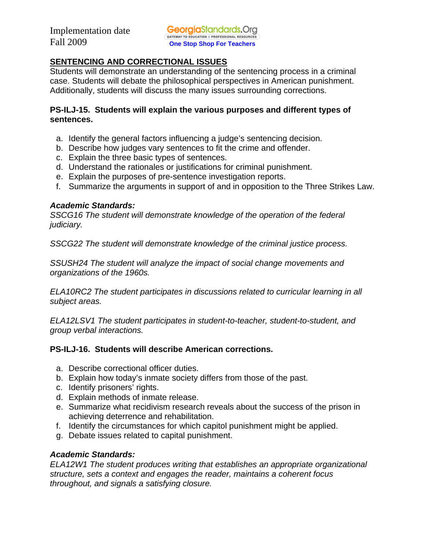## **SENTENCING AND CORRECTIONAL ISSUES**

Students will demonstrate an understanding of the sentencing process in a criminal case. Students will debate the philosophical perspectives in American punishment. Additionally, students will discuss the many issues surrounding corrections.

## **PS-ILJ-15. Students will explain the various purposes and different types of sentences.**

- a. Identify the general factors influencing a judge's sentencing decision.
- b. Describe how judges vary sentences to fit the crime and offender.
- c. Explain the three basic types of sentences.
- d. Understand the rationales or justifications for criminal punishment.
- e. Explain the purposes of pre-sentence investigation reports.
- f. Summarize the arguments in support of and in opposition to the Three Strikes Law.

## *Academic Standards:*

*SSCG16 The student will demonstrate knowledge of the operation of the federal judiciary.* 

*SSCG22 The student will demonstrate knowledge of the criminal justice process.* 

*SSUSH24 The student will analyze the impact of social change movements and organizations of the 1960s.* 

*ELA10RC2 The student participates in discussions related to curricular learning in all subject areas.* 

*ELA12LSV1 The student participates in student-to-teacher, student-to-student, and group verbal interactions.* 

## **PS-ILJ-16. Students will describe American corrections.**

- a. Describe correctional officer duties.
- b. Explain how today's inmate society differs from those of the past.
- c. Identify prisoners' rights.
- d. Explain methods of inmate release.
- e. Summarize what recidivism research reveals about the success of the prison in achieving deterrence and rehabilitation.
- f. Identify the circumstances for which capitol punishment might be applied.
- g. Debate issues related to capital punishment.

## *Academic Standards:*

*ELA12W1 The student produces writing that establishes an appropriate organizational structure, sets a context and engages the reader, maintains a coherent focus throughout, and signals a satisfying closure.*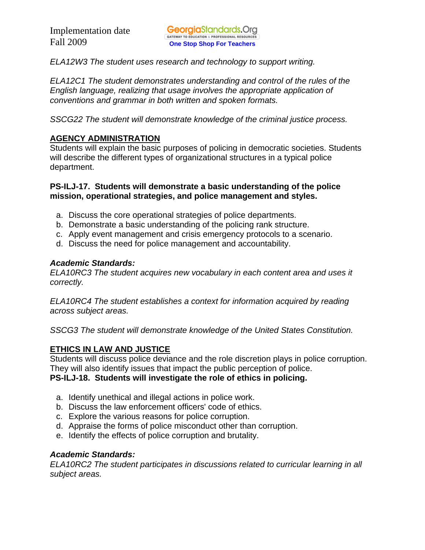*ELA12W3 The student uses research and technology to support writing.* 

*ELA12C1 The student demonstrates understanding and control of the rules of the English language, realizing that usage involves the appropriate application of conventions and grammar in both written and spoken formats.* 

*SSCG22 The student will demonstrate knowledge of the criminal justice process.* 

## **AGENCY ADMINISTRATION**

Students will explain the basic purposes of policing in democratic societies. Students will describe the different types of organizational structures in a typical police department.

#### **PS-ILJ-17. Students will demonstrate a basic understanding of the police mission, operational strategies, and police management and styles.**

- a. Discuss the core operational strategies of police departments.
- b. Demonstrate a basic understanding of the policing rank structure.
- c. Apply event management and crisis emergency protocols to a scenario.
- d. Discuss the need for police management and accountability.

#### *Academic Standards:*

*ELA10RC3 The student acquires new vocabulary in each content area and uses it correctly.* 

*ELA10RC4 The student establishes a context for information acquired by reading across subject areas.* 

*SSCG3 The student will demonstrate knowledge of the United States Constitution.* 

## **ETHICS IN LAW AND JUSTICE**

Students will discuss police deviance and the role discretion plays in police corruption. They will also identify issues that impact the public perception of police.

#### **PS-ILJ-18. Students will investigate the role of ethics in policing.**

- a. Identify unethical and illegal actions in police work.
- b. Discuss the law enforcement officers' code of ethics.
- c. Explore the various reasons for police corruption.
- d. Appraise the forms of police misconduct other than corruption.
- e. Identify the effects of police corruption and brutality.

## *Academic Standards:*

*ELA10RC2 The student participates in discussions related to curricular learning in all subject areas.*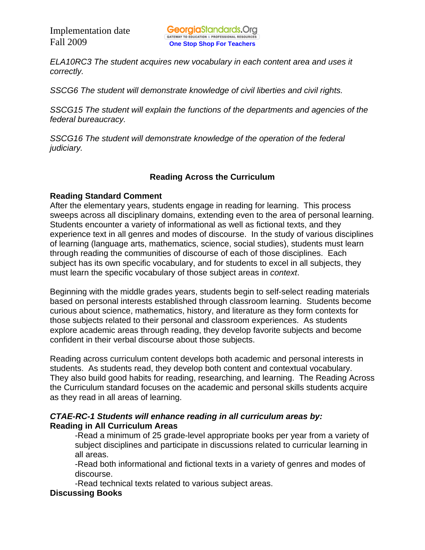*ELA10RC3 The student acquires new vocabulary in each content area and uses it correctly.* 

*SSCG6 The student will demonstrate knowledge of civil liberties and civil rights.* 

*SSCG15 The student will explain the functions of the departments and agencies of the federal bureaucracy.* 

*SSCG16 The student will demonstrate knowledge of the operation of the federal judiciary.* 

## **Reading Across the Curriculum**

## **Reading Standard Comment**

After the elementary years, students engage in reading for learning. This process sweeps across all disciplinary domains, extending even to the area of personal learning. Students encounter a variety of informational as well as fictional texts, and they experience text in all genres and modes of discourse. In the study of various disciplines of learning (language arts, mathematics, science, social studies), students must learn through reading the communities of discourse of each of those disciplines. Each subject has its own specific vocabulary, and for students to excel in all subjects, they must learn the specific vocabulary of those subject areas in *context*.

Beginning with the middle grades years, students begin to self-select reading materials based on personal interests established through classroom learning. Students become curious about science, mathematics, history, and literature as they form contexts for those subjects related to their personal and classroom experiences. As students explore academic areas through reading, they develop favorite subjects and become confident in their verbal discourse about those subjects.

Reading across curriculum content develops both academic and personal interests in students. As students read, they develop both content and contextual vocabulary. They also build good habits for reading, researching, and learning. The Reading Across the Curriculum standard focuses on the academic and personal skills students acquire as they read in all areas of learning.

## *CTAE-RC-1 Students will enhance reading in all curriculum areas by:*  **Reading in All Curriculum Areas**

-Read a minimum of 25 grade-level appropriate books per year from a variety of subject disciplines and participate in discussions related to curricular learning in all areas.

-Read both informational and fictional texts in a variety of genres and modes of discourse.

-Read technical texts related to various subject areas.

## **Discussing Books**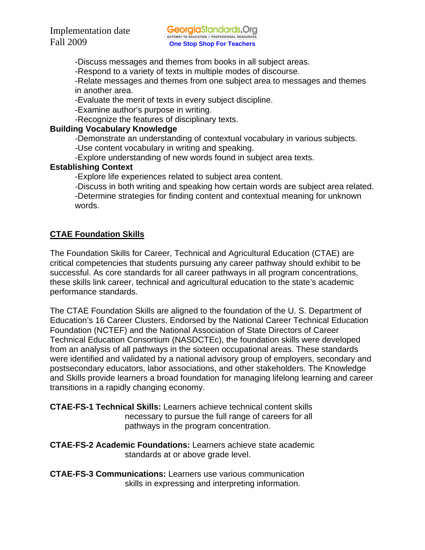-Discuss messages and themes from books in all subject areas.

-Respond to a variety of texts in multiple modes of discourse.

-Relate messages and themes from one subject area to messages and themes in another area.

-Evaluate the merit of texts in every subject discipline.

-Examine author's purpose in writing.

-Recognize the features of disciplinary texts.

#### **Building Vocabulary Knowledge**

-Demonstrate an understanding of contextual vocabulary in various subjects.

-Use content vocabulary in writing and speaking.

-Explore understanding of new words found in subject area texts.

## **Establishing Context**

-Explore life experiences related to subject area content.

 -Discuss in both writing and speaking how certain words are subject area related. -Determine strategies for finding content and contextual meaning for unknown words.

## **CTAE Foundation Skills**

The Foundation Skills for Career, Technical and Agricultural Education (CTAE) are critical competencies that students pursuing any career pathway should exhibit to be successful. As core standards for all career pathways in all program concentrations, these skills link career, technical and agricultural education to the state's academic performance standards.

The CTAE Foundation Skills are aligned to the foundation of the U. S. Department of Education's 16 Career Clusters. Endorsed by the National Career Technical Education Foundation (NCTEF) and the National Association of State Directors of Career Technical Education Consortium (NASDCTEc), the foundation skills were developed from an analysis of all pathways in the sixteen occupational areas. These standards were identified and validated by a national advisory group of employers, secondary and postsecondary educators, labor associations, and other stakeholders. The Knowledge and Skills provide learners a broad foundation for managing lifelong learning and career transitions in a rapidly changing economy.

## **CTAE-FS-1 Technical Skills:** Learners achieve technical content skills necessary to pursue the full range of careers for all pathways in the program concentration.

**CTAE-FS-2 Academic Foundations:** Learners achieve state academic standards at or above grade level.

**CTAE-FS-3 Communications:** Learners use various communication skills in expressing and interpreting information.